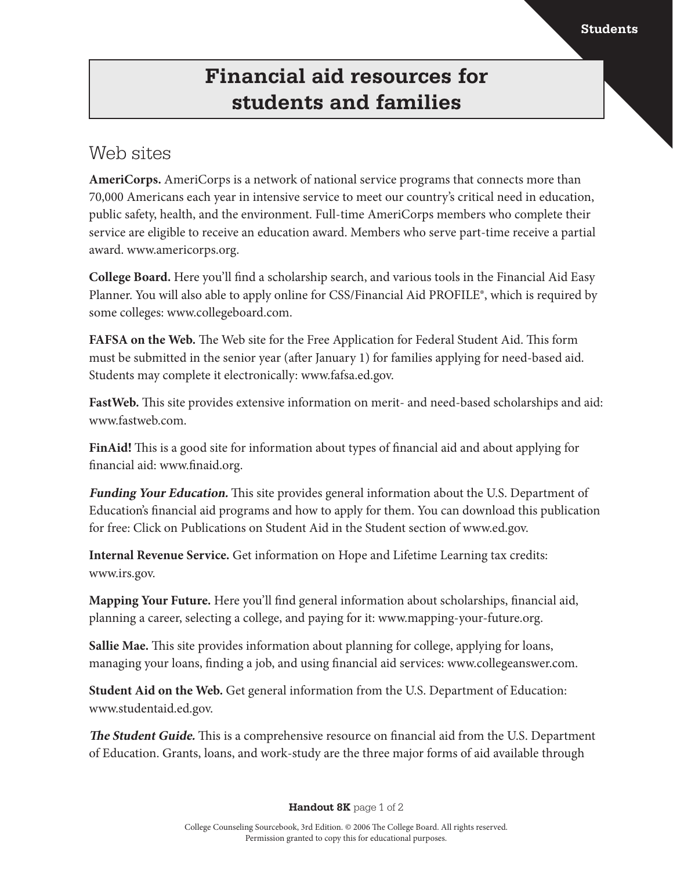## **Financial aid resources for students and families**

## Web sites

**AmeriCorps.** AmeriCorps is a network of national service programs that connects more than 70,000 Americans each year in intensive service to meet our country's critical need in education, public safety, health, and the environment. Full-time AmeriCorps members who complete their service are eligible to receive an education award. Members who serve part-time receive a partial award. www.americorps.org.

**College Board.** Here you'll find a scholarship search, and various tools in the Financial Aid Easy Planner. You will also able to apply online for CSS/Financial Aid PROFILE®, which is required by some colleges: www.collegeboard.com.

**FAFSA on the Web.** The Web site for the Free Application for Federal Student Aid. This form must be submitted in the senior year (after January 1) for families applying for need-based aid. Students may complete it electronically: www.fafsa.ed.gov.

**FastWeb.** This site provides extensive information on merit- and need-based scholarships and aid: www.fastweb.com.

**FinAid!** This is a good site for information about types of financial aid and about applying for financial aid: www.finaid.org.

**Funding Your Education.** This site provides general information about the U.S. Department of Education's financial aid programs and how to apply for them. You can download this publication for free: Click on Publications on Student Aid in the Student section of www.ed.gov.

**Internal Revenue Service.** Get information on Hope and Lifetime Learning tax credits: www.irs.gov.

**Mapping Your Future.** Here you'll find general information about scholarships, financial aid, planning a career, selecting a college, and paying for it: www.mapping-your-future.org.

**Sallie Mae.** This site provides information about planning for college, applying for loans, managing your loans, finding a job, and using financial aid services: www.collegeanswer.com.

**Student Aid on the Web.** Get general information from the U.S. Department of Education: www.studentaid.ed.gov.

**The Student Guide.** This is a comprehensive resource on financial aid from the U.S. Department of Education. Grants, loans, and work-study are the three major forms of aid available through

**Handout 8K** page 1 of 2